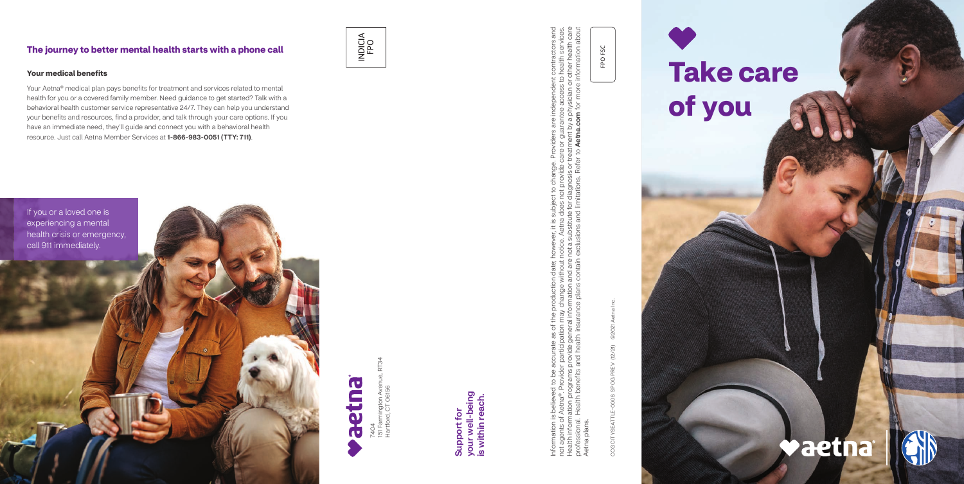7404<br>151 Farmington Aven<br>Hartford, CT 06156 151 Farmington Avenue, RT34 Hartford, CT 06156

Information is believed to be accurate as of the production date; however, it is subject to change. Providers are independent contractors and not agents of Aetna®. Provider participation may change without notice. Aetna does not provide care or guarantee access to health services. Health information programs provide general information and are not a substitute for diagnosis or treatment by a physician or other health care professional. Health benefits and health insurance plans contain exclusions and limitations. Refer to Aetna.com for more information about ge. Providers are independent contractors and<br>te care or guarantee access to health services.<br>or treatment by a physician or other health care<br>efer to **Aetna.com** for more information about Joject to change. Provi<br>loes not provide care o<br>a for diagnosis or treatm<br>1 limitations. Refer to **A** ever, it is subj<br>be. Aetna doe<br>a substitute fc<br>lusions and li Information is believed to be accurate as of the production date; howe<br>not agents of Aetna®. Provider participation may change without notice<br>Health information programs provide general information and are not a<br>profession Aetna plans. plans Aetna

your well-being<br>is within reach. your well-being is within reach. Support for Support for

CCG CITYSEATTLE-0008 SPOG PREV (12/21) ©2021 Aetna Inc. 02021 PREV (12/21) SPOG<sub>I</sub> CCG CITYSEATTLE-0008

FPO FSC

### **The journey to better mental health starts with a phone call**

# INDICIA<br>FPO





### **Your medical benefits**

Your Aetna® medical plan pays benefits for treatment and services related to mental health for you or a covered family member. Need guidance to get started? Talk with a behavioral health customer service representative 24/7. They can help you understand your benefits and resources, find a provider, and talk through your care options. If you have an immediate need, they'll guide and connect you with a behavioral health resource. Just call Aetna Member Services at 1-866-983-0051 (TTY: 711).

## **Take care of you**

## **Vaetna**